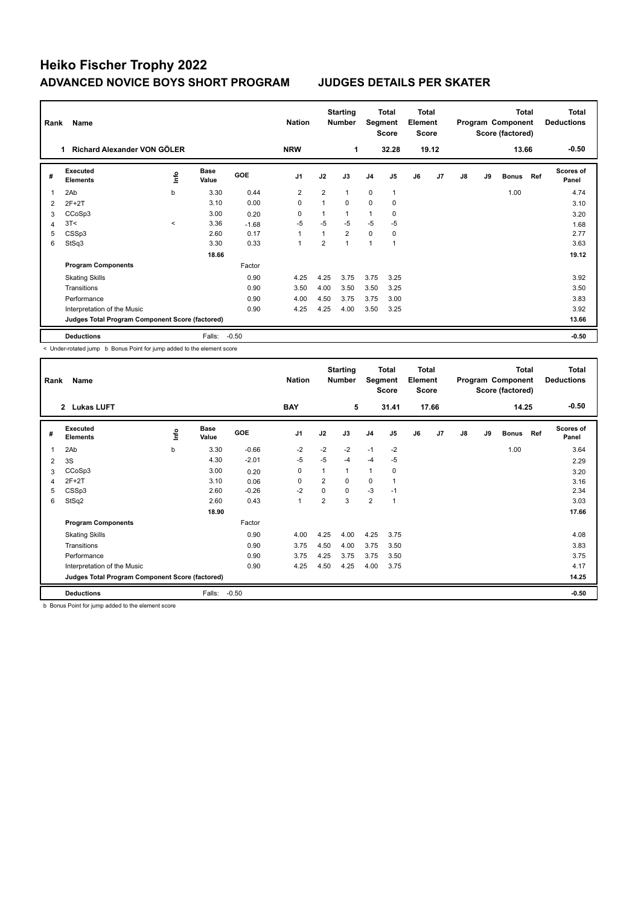# **Heiko Fischer Trophy 2022 ADVANCED NOVICE BOYS SHORT PROGRAM JUDGES DETAILS PER SKATER**

| Rank | Name                                            |         |                      |            | <b>Nation</b>  | <b>Starting</b><br>Number |                | Total<br>Segment<br><b>Score</b> |                | <b>Total</b><br>Element<br><b>Score</b> |                |    | <b>Total</b><br>Program Component<br>Score (factored) |              | <b>Total</b><br><b>Deductions</b> |                           |
|------|-------------------------------------------------|---------|----------------------|------------|----------------|---------------------------|----------------|----------------------------------|----------------|-----------------------------------------|----------------|----|-------------------------------------------------------|--------------|-----------------------------------|---------------------------|
|      | Richard Alexander VON GÖLER<br>1                |         |                      |            | <b>NRW</b>     |                           | 1              |                                  | 32.28          |                                         | 19.12          |    |                                                       | 13.66        |                                   | $-0.50$                   |
| #    | Executed<br><b>Elements</b>                     | lnfo    | <b>Base</b><br>Value | <b>GOE</b> | J <sub>1</sub> | J2                        | J3             | J <sub>4</sub>                   | J <sub>5</sub> | J6                                      | J <sub>7</sub> | J8 | J9                                                    | <b>Bonus</b> | Ref                               | <b>Scores of</b><br>Panel |
| 1    | 2Ab                                             | b       | 3.30                 | 0.44       | $\overline{2}$ | $\overline{2}$            | $\mathbf{1}$   | $\mathbf 0$                      | $\mathbf{1}$   |                                         |                |    |                                                       | 1.00         |                                   | 4.74                      |
| 2    | $2F+2T$                                         |         | 3.10                 | 0.00       | 0              |                           | $\Omega$       | $\Omega$                         | 0              |                                         |                |    |                                                       |              |                                   | 3.10                      |
| 3    | CCoSp3                                          |         | 3.00                 | 0.20       | 0              |                           | 1              | 1                                | 0              |                                         |                |    |                                                       |              |                                   | 3.20                      |
| 4    | 3T<                                             | $\prec$ | 3.36                 | $-1.68$    | -5             | $-5$                      | $-5$           | $-5$                             | -5             |                                         |                |    |                                                       |              |                                   | 1.68                      |
| 5    | CSSp3                                           |         | 2.60                 | 0.17       | $\overline{1}$ |                           | $\overline{2}$ | $\mathbf 0$                      | 0              |                                         |                |    |                                                       |              |                                   | 2.77                      |
| 6    | StSq3                                           |         | 3.30                 | 0.33       | $\overline{1}$ | $\overline{2}$            | $\mathbf{1}$   | 1                                | 1              |                                         |                |    |                                                       |              |                                   | 3.63                      |
|      |                                                 |         | 18.66                |            |                |                           |                |                                  |                |                                         |                |    |                                                       |              |                                   | 19.12                     |
|      | <b>Program Components</b>                       |         |                      | Factor     |                |                           |                |                                  |                |                                         |                |    |                                                       |              |                                   |                           |
|      | <b>Skating Skills</b>                           |         |                      | 0.90       | 4.25           | 4.25                      | 3.75           | 3.75                             | 3.25           |                                         |                |    |                                                       |              |                                   | 3.92                      |
|      | Transitions                                     |         |                      | 0.90       | 3.50           | 4.00                      | 3.50           | 3.50                             | 3.25           |                                         |                |    |                                                       |              |                                   | 3.50                      |
|      | Performance                                     |         |                      | 0.90       | 4.00           | 4.50                      | 3.75           | 3.75                             | 3.00           |                                         |                |    |                                                       |              |                                   | 3.83                      |
|      | Interpretation of the Music                     |         |                      | 0.90       | 4.25           | 4.25                      | 4.00           | 3.50                             | 3.25           |                                         |                |    |                                                       |              |                                   | 3.92                      |
|      | Judges Total Program Component Score (factored) |         |                      |            |                |                           |                |                                  |                |                                         |                |    |                                                       |              |                                   | 13.66                     |
|      | <b>Deductions</b>                               |         | Falls:               | $-0.50$    |                |                           |                |                                  |                |                                         |                |    |                                                       |              |                                   | $-0.50$                   |

< Under-rotated jump b Bonus Point for jump added to the element score

| Name<br>Rank   |                                                 |      |                      | <b>Nation</b> |                | <b>Starting</b><br>Total<br>Segment<br><b>Number</b><br><b>Score</b> |      | Total<br>Element<br><b>Score</b> |                | <b>Total</b><br>Program Component<br>Score (factored) |                |    |    | Total<br><b>Deductions</b> |     |                           |
|----------------|-------------------------------------------------|------|----------------------|---------------|----------------|----------------------------------------------------------------------|------|----------------------------------|----------------|-------------------------------------------------------|----------------|----|----|----------------------------|-----|---------------------------|
|                | 2 Lukas LUFT                                    |      |                      |               | <b>BAY</b>     |                                                                      | 5    |                                  | 31.41          |                                                       | 17.66          |    |    | 14.25                      |     | $-0.50$                   |
| #              | Executed<br><b>Elements</b>                     | ١nto | <b>Base</b><br>Value | GOE           | J <sub>1</sub> | J2                                                                   | J3   | J <sub>4</sub>                   | J <sub>5</sub> | J6                                                    | J <sub>7</sub> | J8 | J9 | <b>Bonus</b>               | Ref | <b>Scores of</b><br>Panel |
| 1              | 2Ab                                             | b    | 3.30                 | $-0.66$       | $-2$           | $-2$                                                                 | $-2$ | $-1$                             | $-2$           |                                                       |                |    |    | 1.00                       |     | 3.64                      |
| $\overline{2}$ | 3S                                              |      | 4.30                 | $-2.01$       | $-5$           | $-5$                                                                 | $-4$ | $-4$                             | -5             |                                                       |                |    |    |                            |     | 2.29                      |
| 3              | CCoSp3                                          |      | 3.00                 | 0.20          | $\mathbf 0$    | 1                                                                    | 1    | $\overline{1}$                   | 0              |                                                       |                |    |    |                            |     | 3.20                      |
| 4              | $2F+2T$                                         |      | 3.10                 | 0.06          | 0              | $\overline{2}$                                                       | 0    | $\mathbf 0$                      |                |                                                       |                |    |    |                            |     | 3.16                      |
| 5              | CSSp3                                           |      | 2.60                 | $-0.26$       | $-2$           | 0                                                                    | 0    | $-3$                             | $-1$           |                                                       |                |    |    |                            |     | 2.34                      |
| 6              | StSq2                                           |      | 2.60                 | 0.43          | $\mathbf{1}$   | $\overline{2}$                                                       | 3    | $\overline{2}$                   | 1              |                                                       |                |    |    |                            |     | 3.03                      |
|                |                                                 |      | 18.90                |               |                |                                                                      |      |                                  |                |                                                       |                |    |    |                            |     | 17.66                     |
|                | <b>Program Components</b>                       |      |                      | Factor        |                |                                                                      |      |                                  |                |                                                       |                |    |    |                            |     |                           |
|                | <b>Skating Skills</b>                           |      |                      | 0.90          | 4.00           | 4.25                                                                 | 4.00 | 4.25                             | 3.75           |                                                       |                |    |    |                            |     | 4.08                      |
|                | Transitions                                     |      |                      | 0.90          | 3.75           | 4.50                                                                 | 4.00 | 3.75                             | 3.50           |                                                       |                |    |    |                            |     | 3.83                      |
|                | Performance                                     |      |                      | 0.90          | 3.75           | 4.25                                                                 | 3.75 | 3.75                             | 3.50           |                                                       |                |    |    |                            |     | 3.75                      |
|                | Interpretation of the Music                     |      |                      | 0.90          | 4.25           | 4.50                                                                 | 4.25 | 4.00                             | 3.75           |                                                       |                |    |    |                            |     | 4.17                      |
|                | Judges Total Program Component Score (factored) |      |                      |               |                |                                                                      |      |                                  |                |                                                       |                |    |    |                            |     | 14.25                     |
|                | <b>Deductions</b>                               |      | Falls:               | $-0.50$       |                |                                                                      |      |                                  |                |                                                       |                |    |    |                            |     | $-0.50$                   |

b Bonus Point for jump added to the element score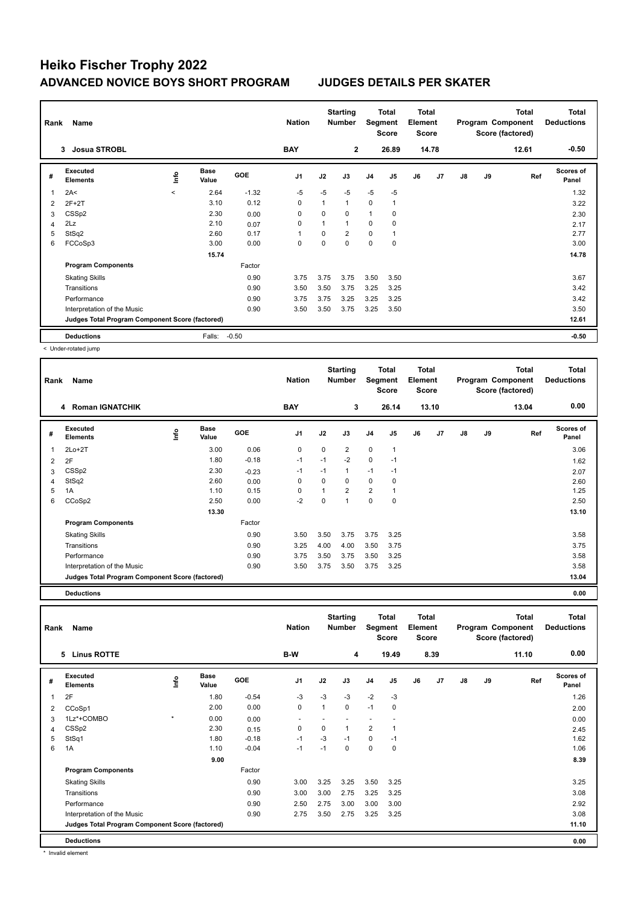# **Heiko Fischer Trophy 2022 ADVANCED NOVICE BOYS SHORT PROGRAM JUDGES DETAILS PER SKATER**

| Name<br>Rank |                                                 |             |                      |            | <b>Nation</b>  |      | <b>Starting</b><br><b>Number</b> |                | Total<br>Segment<br><b>Score</b> |    | Total<br>Element<br><b>Score</b> |    |    | <b>Total</b><br>Program Component<br>Score (factored) | <b>Total</b><br><b>Deductions</b> |  |
|--------------|-------------------------------------------------|-------------|----------------------|------------|----------------|------|----------------------------------|----------------|----------------------------------|----|----------------------------------|----|----|-------------------------------------------------------|-----------------------------------|--|
|              | <b>Josua STROBL</b><br>3                        |             |                      |            | <b>BAY</b>     |      | $\mathbf{2}$                     |                | 26.89                            |    | 14.78                            |    |    | 12.61                                                 | $-0.50$                           |  |
| #            | Executed<br><b>Elements</b>                     | <u>info</u> | <b>Base</b><br>Value | <b>GOE</b> | J <sub>1</sub> | J2   | J3                               | J <sub>4</sub> | J <sub>5</sub>                   | J6 | J7                               | J8 | J9 | Ref                                                   | Scores of<br>Panel                |  |
| 1            | 2A<                                             | $\prec$     | 2.64                 | $-1.32$    | $-5$           | $-5$ | $-5$                             | $-5$           | $-5$                             |    |                                  |    |    |                                                       | 1.32                              |  |
| 2            | $2F+2T$                                         |             | 3.10                 | 0.12       | 0              |      | $\mathbf{1}$                     | $\mathbf 0$    | $\overline{1}$                   |    |                                  |    |    |                                                       | 3.22                              |  |
| 3            | CSS <sub>p2</sub>                               |             | 2.30                 | 0.00       | 0              | 0    | $\Omega$                         | $\mathbf{1}$   | 0                                |    |                                  |    |    |                                                       | 2.30                              |  |
| 4            | 2Lz                                             |             | 2.10                 | 0.07       | 0              |      | $\mathbf{1}$                     | 0              | 0                                |    |                                  |    |    |                                                       | 2.17                              |  |
| 5            | StSq2                                           |             | 2.60                 | 0.17       | 1              | 0    | $\overline{2}$                   | $\Omega$       |                                  |    |                                  |    |    |                                                       | 2.77                              |  |
| 6            | FCCoSp3                                         |             | 3.00                 | 0.00       | 0              | 0    | $\Omega$                         | $\mathbf 0$    | $\mathbf 0$                      |    |                                  |    |    |                                                       | 3.00                              |  |
|              |                                                 |             | 15.74                |            |                |      |                                  |                |                                  |    |                                  |    |    |                                                       | 14.78                             |  |
|              | <b>Program Components</b>                       |             |                      | Factor     |                |      |                                  |                |                                  |    |                                  |    |    |                                                       |                                   |  |
|              | <b>Skating Skills</b>                           |             |                      | 0.90       | 3.75           | 3.75 | 3.75                             | 3.50           | 3.50                             |    |                                  |    |    |                                                       | 3.67                              |  |
|              | Transitions                                     |             |                      | 0.90       | 3.50           | 3.50 | 3.75                             | 3.25           | 3.25                             |    |                                  |    |    |                                                       | 3.42                              |  |
|              | Performance                                     |             |                      | 0.90       | 3.75           | 3.75 | 3.25                             | 3.25           | 3.25                             |    |                                  |    |    |                                                       | 3.42                              |  |
|              | Interpretation of the Music                     |             |                      | 0.90       | 3.50           | 3.50 | 3.75                             | 3.25           | 3.50                             |    |                                  |    |    |                                                       | 3.50                              |  |
|              | Judges Total Program Component Score (factored) |             |                      |            |                |      |                                  |                |                                  |    |                                  |    |    |                                                       | 12.61                             |  |
|              | <b>Deductions</b>                               |             | Falls:               | $-0.50$    |                |      |                                  |                |                                  |    |                                  |    |    |                                                       | $-0.50$                           |  |

< Under-rotated jump

| Rank           | Name                                            |      |               |            | <b>Nation</b>  | <b>Starting</b><br><b>Number</b> |                | Total<br>Segment<br><b>Score</b> |                | <b>Total</b><br>Element<br><b>Score</b> |       | <b>Total</b><br>Program Component<br>Score (factored) |       |       | <b>Total</b><br><b>Deductions</b> |
|----------------|-------------------------------------------------|------|---------------|------------|----------------|----------------------------------|----------------|----------------------------------|----------------|-----------------------------------------|-------|-------------------------------------------------------|-------|-------|-----------------------------------|
|                | <b>Roman IGNATCHIK</b><br>4                     |      |               |            | <b>BAY</b>     |                                  | 3              |                                  | 26.14          |                                         | 13.10 |                                                       |       | 13.04 | 0.00                              |
| #              | Executed<br><b>Elements</b>                     | lnfo | Base<br>Value | <b>GOE</b> | J <sub>1</sub> | J2                               | J3             | J <sub>4</sub>                   | J <sub>5</sub> | J6                                      | J7    | J8                                                    | J9    | Ref   | Scores of<br>Panel                |
| 1              | $2Lo+2T$                                        |      | 3.00          | 0.06       | 0              | 0                                | $\overline{2}$ | $\mathbf 0$                      | 1              |                                         |       |                                                       |       |       | 3.06                              |
| $\overline{2}$ | 2F                                              |      | 1.80          | $-0.18$    | $-1$           | $-1$                             | $-2$           | $\mathbf 0$                      | $-1$           |                                         |       |                                                       |       |       | 1.62                              |
| 3              | CSS <sub>p2</sub>                               |      | 2.30          | $-0.23$    | $-1$           | $-1$                             | 1              | $-1$                             | $-1$           |                                         |       |                                                       |       |       | 2.07                              |
| 4              | StSq2                                           |      | 2.60          | 0.00       | 0              | $\Omega$                         | 0              | $\mathbf 0$                      | 0              |                                         |       |                                                       |       |       | 2.60                              |
| 5              | 1A                                              |      | 1.10          | 0.15       | $\Omega$       |                                  | 2              | $\overline{2}$                   |                |                                         |       |                                                       |       |       | 1.25                              |
| 6              | CCoSp2                                          |      | 2.50          | 0.00       | $-2$           | 0                                | $\overline{1}$ | $\mathbf 0$                      | 0              |                                         |       |                                                       |       |       | 2.50                              |
|                |                                                 |      | 13.30         |            |                |                                  |                |                                  |                |                                         |       |                                                       |       |       | 13.10                             |
|                | <b>Program Components</b>                       |      |               | Factor     |                |                                  |                |                                  |                |                                         |       |                                                       |       |       |                                   |
|                | <b>Skating Skills</b>                           |      |               | 0.90       | 3.50           | 3.50                             | 3.75           | 3.75                             | 3.25           |                                         |       |                                                       |       |       | 3.58                              |
|                | Transitions                                     |      |               | 0.90       | 3.25           | 4.00                             | 4.00           | 3.50                             | 3.75           |                                         |       |                                                       |       |       | 3.75                              |
|                | Performance                                     |      |               | 0.90       | 3.75           | 3.50                             | 3.75           | 3.50                             | 3.25           |                                         |       |                                                       |       |       | 3.58                              |
|                | Interpretation of the Music                     |      |               | 0.90       | 3.50           | 3.75                             | 3.50           | 3.75                             | 3.25           |                                         |       |                                                       |       |       | 3.58                              |
|                | Judges Total Program Component Score (factored) |      |               |            |                |                                  |                |                                  |                |                                         |       |                                                       | 13.04 |       |                                   |

**Deductions 0.00 Total Deductions Total Program Component Score (factored) Total Element Score Total Segment Score Starting Rank Name Nation Number # Executed Elements Base Value GOE J1 J2 J3 J4 J5 J6 J7 J8 J9 Scores of Panel** 1 1.80 -0.54 -3 -3 -3 -2 -3 **Ref**  2F 1.26 **Info 5 Linus ROTTE B-W 4 19.49 8.39 11.10 0.00** 2 CCoSp1 2.00 0.00 0 1 0 -1 0 2.00 3 1Lz\*+COMBO \* 0.00 0.00 - - - - - 0.00 4 CSSp2 2.30 0.15 0 0 1 2 1 2.45 5 StSq1 1.80 -0.18 -1 -3 -1 0 -1 1.62 6 1A 1.10 -0.04 -1 -1 0 0 0 1.06  **9.00 8.39 Program Components**  Skating Skills 3.00 3.25 3.25 3.25 3.25 3.25 3.25 Factor 0.90 3.25 Transitions 0.90 3.00 3.00 2.75 3.25 3.25 3.08 Performance 0.90 2.50 2.75 3.00 3.00 3.00 2.92 Interpretation of the Music 0.90 2.75 3.50 2.75 3.25 3.25 3.08 **Deductions 0.00 Judges Total Program Component Score (factored) 11.10** \* Invalid element